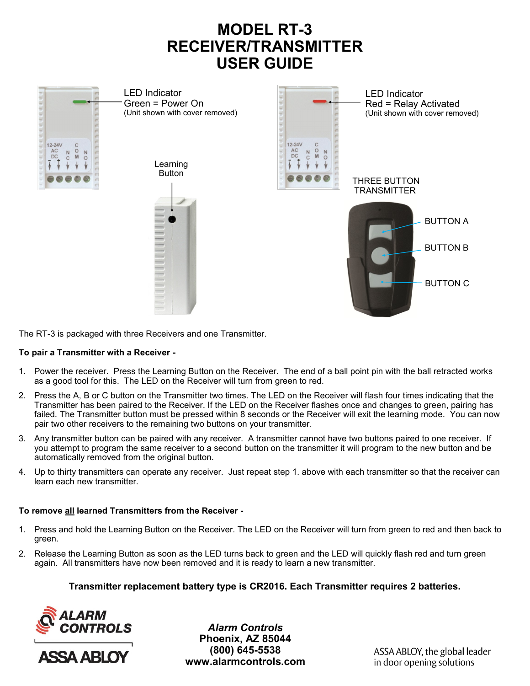# **MODEL RT-3 RECEIVER/TRANSMITTER USER GUIDE**





The RT-3 is packaged with three Receivers and one Transmitter.

### **To pair a Transmitter with a Receiver -**

- 1. Power the receiver. Press the Learning Button on the Receiver. The end of a ball point pin with the ball retracted works as a good tool for this. The LED on the Receiver will turn from green to red.
- 2. Press the A, B or C button on the Transmitter two times. The LED on the Receiver will flash four times indicating that the Transmitter has been paired to the Receiver. If the LED on the Receiver flashes once and changes to green, pairing has failed. The Transmitter button must be pressed within 8 seconds or the Receiver will exit the learning mode. You can now pair two other receivers to the remaining two buttons on your transmitter.
- 3. Any transmitter button can be paired with any receiver. A transmitter cannot have two buttons paired to one receiver. If you attempt to program the same receiver to a second button on the transmitter it will program to the new button and be automatically removed from the original button.
- 4. Up to thirty transmitters can operate any receiver. Just repeat step 1. above with each transmitter so that the receiver can learn each new transmitter.

### **To remove all learned Transmitters from the Receiver -**

- 1. Press and hold the Learning Button on the Receiver. The LED on the Receiver will turn from green to red and then back to green.
- 2. Release the Learning Button as soon as the LED turns back to green and the LED will quickly flash red and turn green again. All transmitters have now been removed and it is ready to learn a new transmitter.

**Transmitter replacement battery type is CR2016. Each Transmitter requires 2 batteries.**





*Alarm Controls* **Phoenix, AZ 85044 (800) 645-5538 www.alarmcontrols.com**

ASSA ABLOY, the global leader in door opening solutions